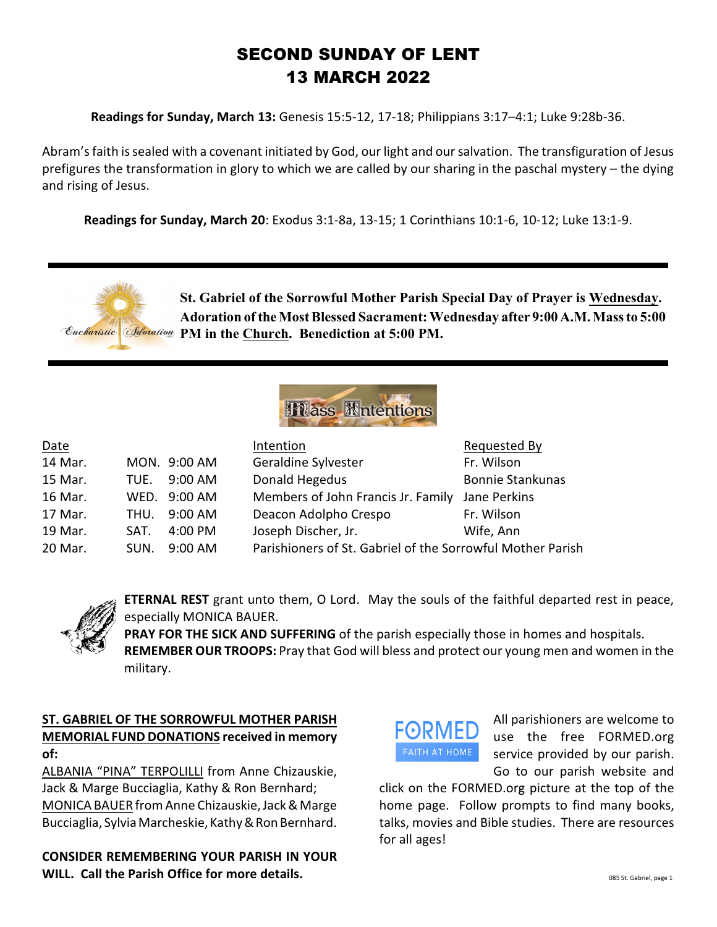# SECOND SUNDAY OF LENT 13 MARCH 2022

**Readings for Sunday, March 13:** Genesis 15:5-12, 17-18; Philippians 3:17–4:1; Luke 9:28b-36.

Abram's faith is sealed with a covenant initiated by God, our light and oursalvation. The transfiguration of Jesus prefigures the transformation in glory to which we are called by our sharing in the paschal mystery – the dying and rising of Jesus.

**Readings for Sunday, March 20**: Exodus 3:1-8a, 13-15; 1 Corinthians 10:1-6, 10-12; Luke 13:1-9.





| Date    |      |              | Intention                                                  | Requested By            |
|---------|------|--------------|------------------------------------------------------------|-------------------------|
| 14 Mar. |      | MON. 9:00 AM | Geraldine Sylvester                                        | Fr. Wilson              |
| 15 Mar. | TUE. | $9:00$ AM    | Donald Hegedus                                             | <b>Bonnie Stankunas</b> |
| 16 Mar. |      | WED. 9:00 AM | Members of John Francis Jr. Family                         | Jane Perkins            |
| 17 Mar. | THU. | 9:00 AM      | Deacon Adolpho Crespo                                      | Fr. Wilson              |
| 19 Mar. | SAT. | 4:00 PM      | Joseph Discher, Jr.                                        | Wife, Ann               |
| 20 Mar. | SUN. | $9:00$ AM    | Parishioners of St. Gabriel of the Sorrowful Mother Parish |                         |



**ETERNAL REST** grant unto them, O Lord. May the souls of the faithful departed rest in peace, especially MONICA BAUER.

**PRAY FOR THE SICK AND SUFFERING** of the parish especially those in homes and hospitals. **REMEMBER OUR TROOPS:** Pray that God will bless and protect our young men and women in the military.

## **ST. GABRIEL OF THE SORROWFUL MOTHER PARISH MEMORIAL FUND DONATIONS received in memory of:**

ALBANIA "PINA" TERPOLILLI from Anne Chizauskie, Jack & Marge Bucciaglia, Kathy & Ron Bernhard; MONICA BAUER from Anne Chizauskie, Jack & Marge Bucciaglia, Sylvia Marcheskie, Kathy & Ron Bernhard.

**CONSIDER REMEMBERING YOUR PARISH IN YOUR WILL. Call the Parish Office for more details.**



All parishioners are welcome to use the free FORMED.org service provided by our parish. Go to our parish website and

click on the FORMED.org picture at the top of the home page. Follow prompts to find many books, talks, movies and Bible studies. There are resources for all ages!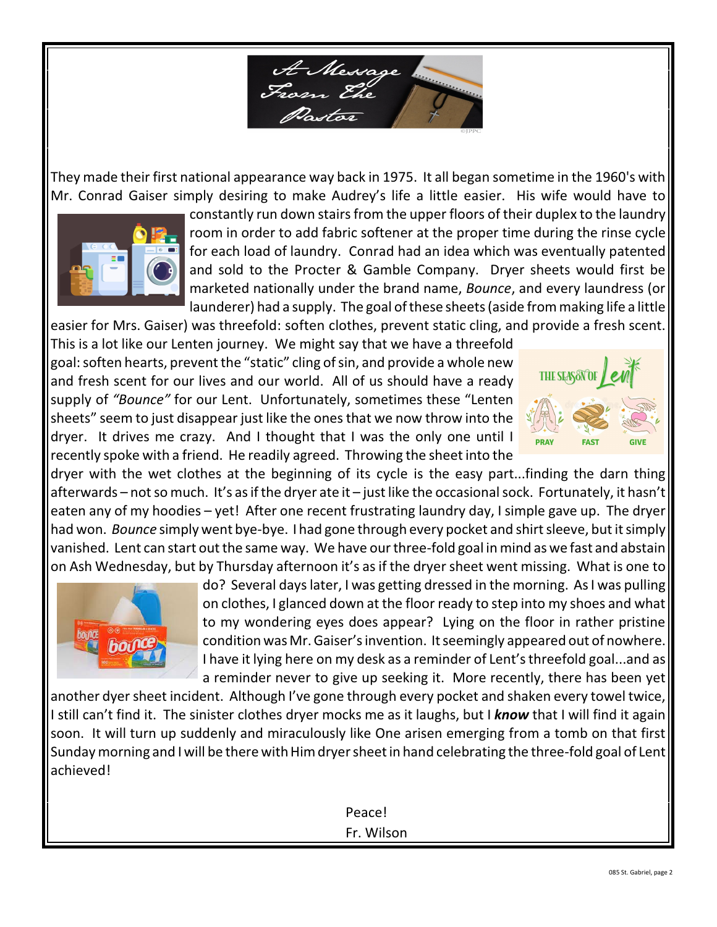

They made their first national appearance way back in 1975. It all began sometime in the 1960's with Mr. Conrad Gaiser simply desiring to make Audrey's life a little easier. His wife would have to



constantly run down stairs from the upper floors of their duplex to the laundry room in order to add fabric softener at the proper time during the rinse cycle for each load of laundry. Conrad had an idea which was eventually patented and sold to the Procter & Gamble Company. Dryer sheets would first be marketed nationally under the brand name, *Bounce*, and every laundress (or launderer) had a supply. The goal of these sheets (aside from making life a little

easier for Mrs. Gaiser) was threefold: soften clothes, prevent static cling, and provide a fresh scent. This is a lot like our Lenten journey. We might say that we have a threefold goal: soften hearts, prevent the "static" cling of sin, and provide a whole new and fresh scent for our lives and our world. All of us should have a ready supply of *"Bounce"* for our Lent. Unfortunately, sometimes these "Lenten sheets" seem to just disappear just like the ones that we now throw into the dryer. It drives me crazy. And I thought that I was the only one until I recently spoke with a friend. He readily agreed. Throwing the sheet into the



dryer with the wet clothes at the beginning of its cycle is the easy part...finding the darn thing afterwards – not so much. It's as if the dryer ate it – just like the occasional sock. Fortunately, it hasn't eaten any of my hoodies – yet! After one recent frustrating laundry day, I simple gave up. The dryer had won. *Bounce* simply went bye-bye. I had gone through every pocket and shirt sleeve, but it simply vanished. Lent can start out the same way. We have our three-fold goal in mind as we fast and abstain on Ash Wednesday, but by Thursday afternoon it's as if the dryer sheet went missing. What is one to



do? Several days later, I was getting dressed in the morning. As I was pulling on clothes, I glanced down at the floor ready to step into my shoes and what to my wondering eyes does appear? Lying on the floor in rather pristine condition was Mr. Gaiser's invention. It seemingly appeared out of nowhere. I have it lying here on my desk as a reminder of Lent's threefold goal...and as a reminder never to give up seeking it. More recently, there has been yet

another dyersheet incident. Although I've gone through every pocket and shaken every towel twice, I still can't find it. The sinister clothes dryer mocks me as it laughs, but I *know* that I will find it again soon. It will turn up suddenly and miraculously like One arisen emerging from a tomb on that first Sunday morning and I will be there with Him dryer sheet in hand celebrating the three-fold goal of Lent achieved!

> Peace! Fr. Wilson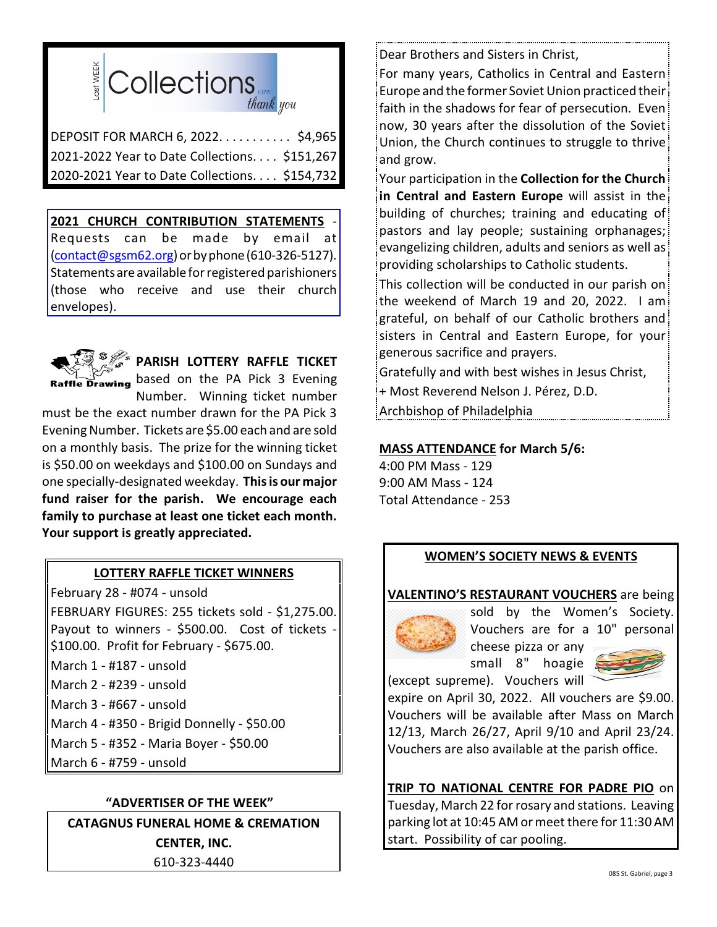

DEPOSIT FOR MARCH 6, 2022. . . . . . . . . . . \$4,965 2021-2022 Year to Date Collections. . . . \$151,267 2020-2021 Year to Date Collections. . . . \$154,732

**2021 CHURCH CONTRIBUTION STATEMENTS** - Requests can be made by email at [\(contact@sgsm62.org](mailto:contact@sgsm62.org)) or by phone (610-326-5127). Statements are available for registered parishioners (those who receive and use their church envelopes).



**PARISH LOTTERY RAFFLE TICKET**

**Raffle Drawing** based on the PA Pick 3 Evening Number. Winning ticket number must be the exact number drawn for the PA Pick 3 Evening Number. Tickets are \$5.00 each and are sold on a monthly basis. The prize for the winning ticket is \$50.00 on weekdays and \$100.00 on Sundays and one specially-designated weekday. **This is our major fund raiser for the parish. We encourage each family to purchase at least one ticket each month. Your support is greatly appreciated.**

# **LOTTERY RAFFLE TICKET WINNERS**

February 28 - #074 - unsold FEBRUARY FIGURES: 255 tickets sold - \$1,275.00. Payout to winners - \$500.00. Cost of tickets \$100.00. Profit for February - \$675.00.

- March 1 #187 unsold
- March 2 #239 unsold
- March 3 #667 unsold
- March 4 #350 Brigid Donnelly \$50.00
- March 5 #352 Maria Boyer \$50.00
- March 6 #759 unsold

## **"ADVERTISER OF THE WEEK"**

**CATAGNUS FUNERAL HOME & CREMATION CENTER, INC.** 610-323-4440

Dear Brothers and Sisters in Christ,

For many years, Catholics in Central and Eastern Europe and the former Soviet Union practiced their faith in the shadows for fear of persecution. Even now, 30 years after the dissolution of the Soviet Union, the Church continues to struggle to thrive and grow.

Your participation in the **Collection for the Church in Central and Eastern Europe** will assist in the building of churches; training and educating of pastors and lay people; sustaining orphanages; evangelizing children, adults and seniors as well as providing scholarships to Catholic students.

This collection will be conducted in our parish on the weekend of March 19 and 20, 2022. I am grateful, on behalf of our Catholic brothers and sisters in Central and Eastern Europe, for your generous sacrifice and prayers.

Gratefully and with best wishes in Jesus Christ,

+ Most Reverend Nelson J. Pérez, D.D.

Archbishop of Philadelphia

## **MASS ATTENDANCE for March 5/6:**

4:00 PM Mass - 129 9:00 AM Mass - 124 Total Attendance - 253

# **WOMEN'S SOCIETY NEWS & EVENTS**

## **VALENTINO'S RESTAURANT VOUCHERS** are being



sold by the Women's Society. Vouchers are for a 10" personal cheese pizza or any

small 8" hoagie (except supreme). Vouchers will



expire on April 30, 2022. All vouchers are \$9.00. Vouchers will be available after Mass on March 12/13, March 26/27, April 9/10 and April 23/24. Vouchers are also available at the parish office.

# **TRIP TO NATIONAL CENTRE FOR PADRE PIO** on

Tuesday, March 22 for rosary and stations. Leaving parking lot at 10:45 AM or meet there for 11:30 AM start. Possibility of car pooling.